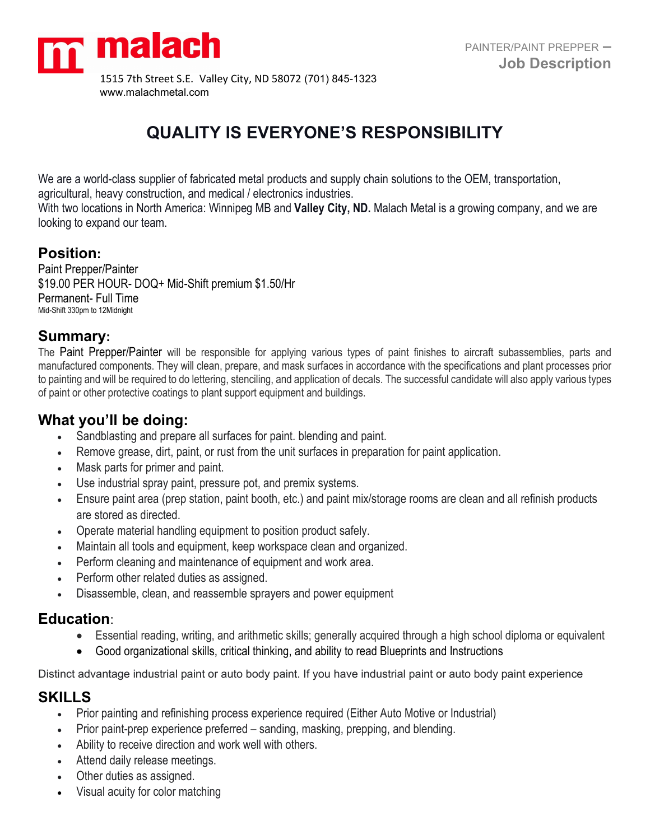

# **QUALITY IS EVERYONE'S RESPONSIBILITY**

We are a world-class supplier of fabricated metal products and supply chain solutions to the OEM, transportation,

agricultural, heavy construction, and medical / electronics industries.

With two locations in North America: Winnipeg MB and **Valley City, ND.** Malach Metal is a growing company, and we are looking to expand our team.

# **Position:**

Paint Prepper/Painter \$19.00 PER HOUR- DOQ+ Mid-Shift premium \$1.50/Hr Permanent- Full Time Mid-Shift 330pm to 12Midnight

# **Summary:**

The Paint Prepper/Painter will be responsible for applying various types of paint finishes to aircraft subassemblies, parts and manufactured components. They will clean, prepare, and mask surfaces in accordance with the specifications and plant processes prior to painting and will be required to do lettering, stenciling, and application of decals. The successful candidate will also apply various types of paint or other protective coatings to plant support equipment and buildings.

# **What you'll be doing:**

- Sandblasting and prepare all surfaces for paint. blending and paint.
- Remove grease, dirt, paint, or rust from the unit surfaces in preparation for paint application.
- Mask parts for primer and paint.
- Use industrial spray paint, pressure pot, and premix systems.
- Ensure paint area (prep station, paint booth, etc.) and paint mix/storage rooms are clean and all refinish products are stored as directed.
- Operate material handling equipment to position product safely.
- Maintain all tools and equipment, keep workspace clean and organized.
- Perform cleaning and maintenance of equipment and work area.
- Perform other related duties as assigned.
- Disassemble, clean, and reassemble sprayers and power equipment

## **Education**:

- Essential reading, writing, and arithmetic skills; generally acquired through a high school diploma or equivalent
- Good organizational skills, critical thinking, and ability to read Blueprints and Instructions

Distinct advantage industrial paint or auto body paint. If you have industrial paint or auto body paint experience

## **SKILLS**

- Prior painting and refinishing process experience required (Either Auto Motive or Industrial)
- Prior paint-prep experience preferred sanding, masking, prepping, and blending.
- Ability to receive direction and work well with others.
- Attend daily release meetings.
- Other duties as assigned.
- Visual acuity for color matching